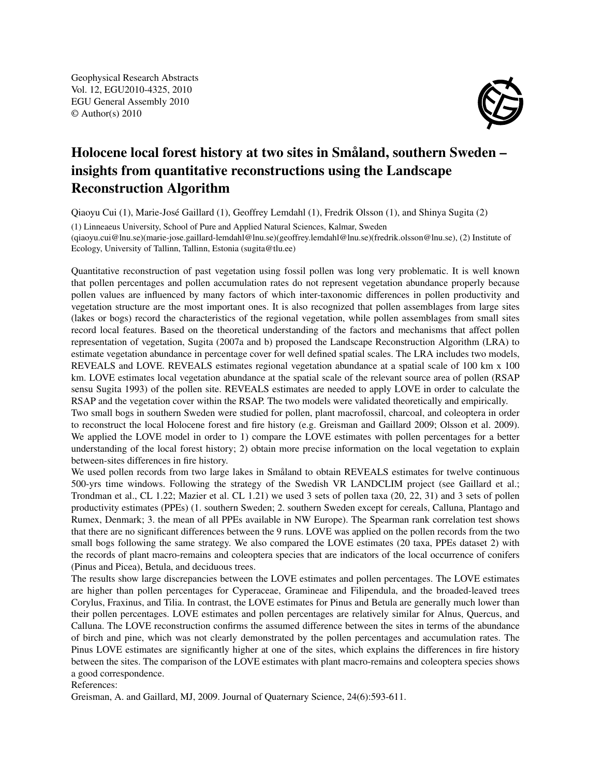Geophysical Research Abstracts Vol. 12, EGU2010-4325, 2010 EGU General Assembly 2010 © Author(s) 2010



## Holocene local forest history at two sites in Småland, southern Sweden – insights from quantitative reconstructions using the Landscape Reconstruction Algorithm

Qiaoyu Cui (1), Marie-José Gaillard (1), Geoffrey Lemdahl (1), Fredrik Olsson (1), and Shinya Sugita (2) (1) Linneaeus University, School of Pure and Applied Natural Sciences, Kalmar, Sweden (qiaoyu.cui@lnu.se)(marie-jose.gaillard-lemdahl@lnu.se)(geoffrey.lemdahl@lnu.se)(fredrik.olsson@lnu.se), (2) Institute of Ecology, University of Tallinn, Tallinn, Estonia (sugita@tlu.ee)

Quantitative reconstruction of past vegetation using fossil pollen was long very problematic. It is well known that pollen percentages and pollen accumulation rates do not represent vegetation abundance properly because pollen values are influenced by many factors of which inter-taxonomic differences in pollen productivity and vegetation structure are the most important ones. It is also recognized that pollen assemblages from large sites (lakes or bogs) record the characteristics of the regional vegetation, while pollen assemblages from small sites record local features. Based on the theoretical understanding of the factors and mechanisms that affect pollen representation of vegetation, Sugita (2007a and b) proposed the Landscape Reconstruction Algorithm (LRA) to estimate vegetation abundance in percentage cover for well defined spatial scales. The LRA includes two models, REVEALS and LOVE. REVEALS estimates regional vegetation abundance at a spatial scale of 100 km x 100 km. LOVE estimates local vegetation abundance at the spatial scale of the relevant source area of pollen (RSAP sensu Sugita 1993) of the pollen site. REVEALS estimates are needed to apply LOVE in order to calculate the RSAP and the vegetation cover within the RSAP. The two models were validated theoretically and empirically.

Two small bogs in southern Sweden were studied for pollen, plant macrofossil, charcoal, and coleoptera in order to reconstruct the local Holocene forest and fire history (e.g. Greisman and Gaillard 2009; Olsson et al. 2009). We applied the LOVE model in order to 1) compare the LOVE estimates with pollen percentages for a better understanding of the local forest history; 2) obtain more precise information on the local vegetation to explain between-sites differences in fire history.

We used pollen records from two large lakes in Småland to obtain REVEALS estimates for twelve continuous 500-yrs time windows. Following the strategy of the Swedish VR LANDCLIM project (see Gaillard et al.; Trondman et al., CL 1.22; Mazier et al. CL 1.21) we used 3 sets of pollen taxa (20, 22, 31) and 3 sets of pollen productivity estimates (PPEs) (1. southern Sweden; 2. southern Sweden except for cereals, Calluna, Plantago and Rumex, Denmark; 3. the mean of all PPEs available in NW Europe). The Spearman rank correlation test shows that there are no significant differences between the 9 runs. LOVE was applied on the pollen records from the two small bogs following the same strategy. We also compared the LOVE estimates (20 taxa, PPEs dataset 2) with the records of plant macro-remains and coleoptera species that are indicators of the local occurrence of conifers (Pinus and Picea), Betula, and deciduous trees.

The results show large discrepancies between the LOVE estimates and pollen percentages. The LOVE estimates are higher than pollen percentages for Cyperaceae, Gramineae and Filipendula, and the broaded-leaved trees Corylus, Fraxinus, and Tilia. In contrast, the LOVE estimates for Pinus and Betula are generally much lower than their pollen percentages. LOVE estimates and pollen percentages are relatively similar for Alnus, Quercus, and Calluna. The LOVE reconstruction confirms the assumed difference between the sites in terms of the abundance of birch and pine, which was not clearly demonstrated by the pollen percentages and accumulation rates. The Pinus LOVE estimates are significantly higher at one of the sites, which explains the differences in fire history between the sites. The comparison of the LOVE estimates with plant macro-remains and coleoptera species shows a good correspondence.

References:

Greisman, A. and Gaillard, MJ, 2009. Journal of Quaternary Science, 24(6):593-611.